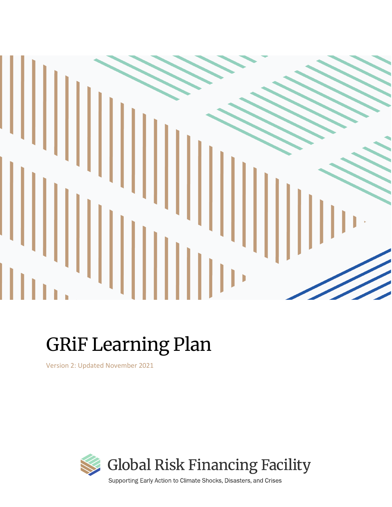

# GRiF Learning Plan

Version 2: Updated November 2021



Supporting Early Action to Climate Shocks, Disasters, and Crises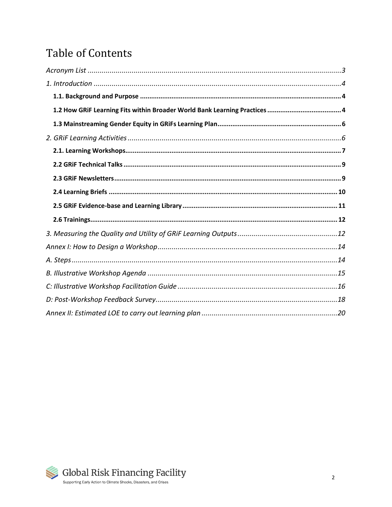## **Table of Contents**

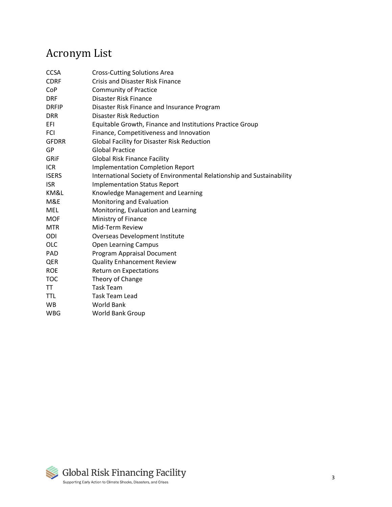## <span id="page-2-0"></span>Acronym List

| <b>CCSA</b>  | <b>Cross-Cutting Solutions Area</b>                                    |
|--------------|------------------------------------------------------------------------|
| <b>CDRF</b>  | <b>Crisis and Disaster Risk Finance</b>                                |
| CoP          | <b>Community of Practice</b>                                           |
| <b>DRF</b>   | Disaster Risk Finance                                                  |
| <b>DRFIP</b> | Disaster Risk Finance and Insurance Program                            |
| <b>DRR</b>   | <b>Disaster Risk Reduction</b>                                         |
| EFI          | Equitable Growth, Finance and Institutions Practice Group              |
| FCI          | Finance, Competitiveness and Innovation                                |
| <b>GFDRR</b> | <b>Global Facility for Disaster Risk Reduction</b>                     |
| GP           | <b>Global Practice</b>                                                 |
| <b>GRIF</b>  | <b>Global Risk Finance Facility</b>                                    |
| <b>ICR</b>   | <b>Implementation Completion Report</b>                                |
| <b>ISERS</b> | International Society of Environmental Relationship and Sustainability |
| <b>ISR</b>   | <b>Implementation Status Report</b>                                    |
| KM&L         | Knowledge Management and Learning                                      |
| M&E          | Monitoring and Evaluation                                              |
| <b>MEL</b>   | Monitoring, Evaluation and Learning                                    |
| <b>MOF</b>   | Ministry of Finance                                                    |
| <b>MTR</b>   | Mid-Term Review                                                        |
| ODI          | <b>Overseas Development Institute</b>                                  |
| <b>OLC</b>   | <b>Open Learning Campus</b>                                            |
| <b>PAD</b>   | Program Appraisal Document                                             |
| QER          | <b>Quality Enhancement Review</b>                                      |
| <b>ROE</b>   | <b>Return on Expectations</b>                                          |
| <b>TOC</b>   | Theory of Change                                                       |
| <b>TT</b>    | <b>Task Team</b>                                                       |
| <b>TTL</b>   | <b>Task Team Lead</b>                                                  |
| <b>WB</b>    | World Bank                                                             |
| <b>WBG</b>   | World Bank Group                                                       |

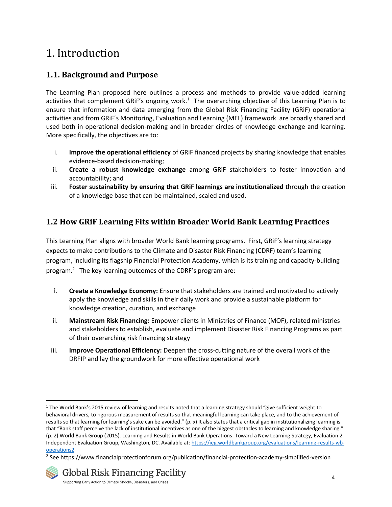## <span id="page-3-0"></span>1. Introduction

### <span id="page-3-1"></span>**1.1. Background and Purpose**

The Learning Plan proposed here outlines a process and methods to provide value-added learning activities that complement GRiF's ongoing work.<sup>1</sup> The overarching objective of this Learning Plan is to ensure that information and data emerging from the Global Risk Financing Facility (GRiF) operational activities and from GRiF's Monitoring, Evaluation and Learning (MEL) framework are broadly shared and used both in operational decision-making and in broader circles of knowledge exchange and learning. More specifically, the objectives are to:

- i. **Improve the operational efficiency** of GRiF financed projects by sharing knowledge that enables evidence-based decision-making;
- ii. **Create a robust knowledge exchange** among GRiF stakeholders to foster innovation and accountability; and
- iii. **Foster sustainability by ensuring that GRiF learnings are institutionalized** through the creation of a knowledge base that can be maintained, scaled and used.

### <span id="page-3-2"></span>**1.2 How GRiF Learning Fits within Broader World Bank Learning Practices**

This Learning Plan aligns with broader World Bank learning programs. First, GRiF's learning strategy expects to make contributions to the Climate and Disaster Risk Financing (CDRF) team's learning program, including its flagship Financial Protection Academy, which is its training and capacity-building program.<sup>2</sup> The key learning outcomes of the CDRF's program are:

- i. **Create a Knowledge Economy:** Ensure that stakeholders are trained and motivated to actively apply the knowledge and skills in their daily work and provide a sustainable platform for knowledge creation, curation, and exchange
- ii. **Mainstream Risk Financing:** Empower clients in Ministries of Finance (MOF), related ministries and stakeholders to establish, evaluate and implement Disaster Risk Financing Programs as part of their overarching risk financing strategy
- iii. **Improve Operational Efficiency:** Deepen the cross-cutting nature of the overall work of the DRFIP and lay the groundwork for more effective operational work

<sup>&</sup>lt;sup>2</sup> See https://www.financialprotectionforum.org/publication/financial-protection-academy-simplified-version



<sup>1</sup> The World Bank's 2015 review of learning and results noted that a learning strategy should "give sufficient weight to behavioral drivers, to rigorous measurement of results so that meaningful learning can take place, and to the achievement of results so that learning for learning's sake can be avoided." (p. x) It also states that a critical gap in institutionalizing learning is that "Bank staff perceive the lack of institutional incentives as one of the biggest obstacles to learning and knowledge sharing." (p. 2) World Bank Group (2015). Learning and Results in World Bank Operations: Toward a New Learning Strategy, Evaluation 2. Independent Evaluation Group, Washington, DC. Available at[: https://ieg.worldbankgroup.org/evaluations/learning-results-wb](https://ieg.worldbankgroup.org/evaluations/learning-results-wb-operations2)[operations2](https://ieg.worldbankgroup.org/evaluations/learning-results-wb-operations2)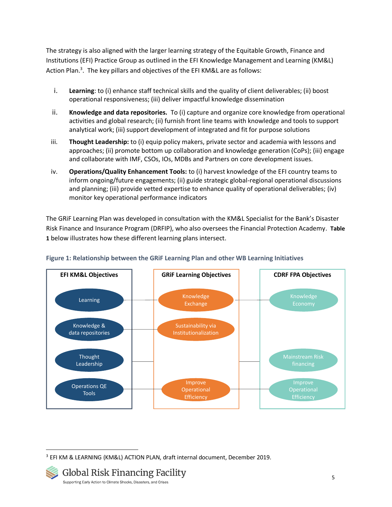The strategy is also aligned with the larger learning strategy of the Equitable Growth, Finance and Institutions (EFI) Practice Group as outlined in the EFI Knowledge Management and Learning (KM&L) Action Plan.<sup>3</sup>. The key pillars and objectives of the EFI KM&L are as follows:

- i. **Learning**: to (i) enhance staff technical skills and the quality of client deliverables; (ii) boost operational responsiveness; (iii) deliver impactful knowledge dissemination
- ii. **Knowledge and data repositories.** To (i) capture and organize core knowledge from operational activities and global research; (ii) furnish front line teams with knowledge and tools to support analytical work; (iii) support development of integrated and fit for purpose solutions
- iii. **Thought Leadership:** to (i) equip policy makers, private sector and academia with lessons and approaches; (ii) promote bottom up collaboration and knowledge generation (CoPs); (iii) engage and collaborate with IMF, CSOs, IOs, MDBs and Partners on core development issues.
- iv. **Operations/Quality Enhancement Tools:** to (i) harvest knowledge of the EFI country teams to inform ongoing/future engagements; (ii) guide strategic global-regional operational discussions and planning; (iii) provide vetted expertise to enhance quality of operational deliverables; (iv) monitor key operational performance indicators

The GRiF Learning Plan was developed in consultation with the KM&L Specialist for the Bank's Disaster Risk Finance and Insurance Program (DRFIP), who also oversees the Financial Protection Academy. **[Table](#page-5-2)  [1](#page-5-2)** below illustrates how these different learning plans intersect.



#### **Figure 1: Relationship between the GRiF Learning Plan and other WB Learning Initiatives**

<sup>3</sup> EFI KM & LEARNING (KM&L) ACTION PLAN, draft internal document, December 2019.

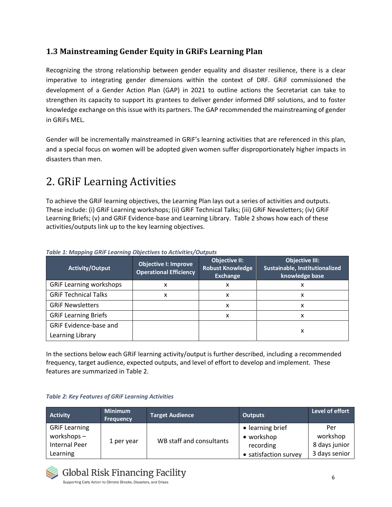### <span id="page-5-0"></span>**1.3 Mainstreaming Gender Equity in GRiFs Learning Plan**

Recognizing the strong relationship between gender equality and disaster resilience, there is a clear imperative to integrating gender dimensions within the context of DRF. GRiF commissioned the development of a Gender Action Plan (GAP) in 2021 to outline actions the Secretariat can take to strengthen its capacity to support its grantees to deliver gender informed DRF solutions, and to foster knowledge exchange on this issue with its partners. The GAP recommended the mainstreaming of gender in GRiFs MEL.

Gender will be incrementally mainstreamed in GRiF's learning activities that are referenced in this plan, and a special focus on women will be adopted given women suffer disproportionately higher impacts in disasters than men.

### <span id="page-5-1"></span>2. GRiF Learning Activities

To achieve the GRiF learning objectives, the Learning Plan lays out a series of activities and outputs. These include: (i) GRiF Learning workshops; (ii) GRiF Technical Talks; (iii) GRiF Newsletters; (iv) GRiF Learning Briefs; (v) and GRiF Evidence-base and Learning Library. Table 2 shows how each of these activities/outputs link up to the key learning objectives.

| Activity/Output                | <b>Objective I: Improve</b><br><b>Operational Efficiency</b> | <b>Objective II:</b><br><b>Robust Knowledge</b><br><b>Exchange</b> | <b>Objective III:</b><br>Sustainable, Institutionalized<br>knowledge base |
|--------------------------------|--------------------------------------------------------------|--------------------------------------------------------------------|---------------------------------------------------------------------------|
| <b>GRiF Learning workshops</b> | х                                                            | х                                                                  | х                                                                         |
| <b>GRIF Technical Talks</b>    | x                                                            | x                                                                  | x                                                                         |
| <b>GRIF Newsletters</b>        |                                                              | x                                                                  | x                                                                         |
| <b>GRiF Learning Briefs</b>    |                                                              |                                                                    | x                                                                         |
| GRIF Evidence-base and         |                                                              |                                                                    |                                                                           |
| Learning Library               |                                                              |                                                                    | x                                                                         |

#### <span id="page-5-2"></span>*Table 1: Mapping GRiF Learning Objectives to Activities/Outputs*

In the sections below each GRiF learning activity/output is further described, including a recommended frequency, target audience, expected outputs, and level of effort to develop and implement. These features are summarized in [Table 2.](#page-5-3)

#### <span id="page-5-3"></span>*Table 2: Key Features of GRiF Learning Activities*

| <b>Activity</b>                                                           | <b>Minimum</b><br><b>Frequency</b> | <b>Target Audience</b>   | <b>Outputs</b>                                                       | Level of effort                                   |
|---------------------------------------------------------------------------|------------------------------------|--------------------------|----------------------------------------------------------------------|---------------------------------------------------|
| <b>GRiF Learning</b><br>workshops $-$<br><b>Internal Peer</b><br>Learning | 1 per year                         | WB staff and consultants | • learning brief<br>• workshop<br>recording<br>• satisfaction survey | Per<br>workshop<br>8 days junior<br>3 days senior |

Global Risk Financing Facility

Supporting Early Action to Climate Shocks, Disasters, and Crises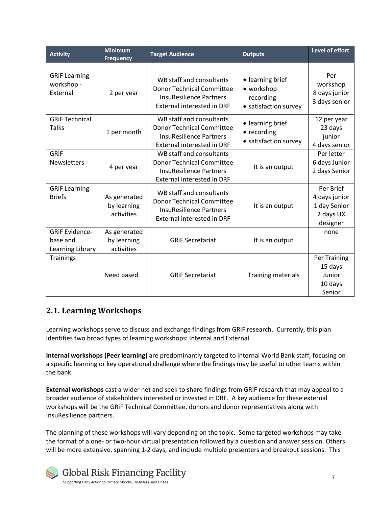| <b>Activity</b>                                       | <b>Minimum</b><br><b>Frequency</b>        | <b>Target Audience</b>                                                                                                              | <b>Outputs</b>                                                       | Level of effort                                                     |
|-------------------------------------------------------|-------------------------------------------|-------------------------------------------------------------------------------------------------------------------------------------|----------------------------------------------------------------------|---------------------------------------------------------------------|
|                                                       |                                           |                                                                                                                                     |                                                                      |                                                                     |
| <b>GRiF Learning</b><br>workshop -<br>External        | 2 per year                                | WB staff and consultants<br><b>Donor Technical Committee</b><br><b>InsuResilience Partners</b><br><b>External interested in DRF</b> | • learning brief<br>• workshop<br>recording<br>• satisfaction survey | Per<br>workshop<br>8 days junior<br>3 days senior                   |
| <b>GRIF Technical</b><br><b>Talks</b>                 | 1 per month                               | WB staff and consultants<br><b>Donor Technical Committee</b><br><b>InsuResilience Partners</b><br><b>External interested in DRF</b> | • learning brief<br>• recording<br>• satisfaction survey             | 12 per year<br>23 days<br>junior<br>4 days senior                   |
| <b>GRIF</b><br><b>Newsletters</b>                     | 4 per year                                | WB staff and consultants<br><b>Donor Technical Committee</b><br><b>InsuResilience Partners</b><br><b>External interested in DRF</b> | It is an output                                                      | Per letter<br>6 days Junior<br>2 days Senior                        |
| <b>GRiF Learning</b><br><b>Briefs</b>                 | As generated<br>by learning<br>activities | WB staff and consultants<br><b>Donor Technical Committee</b><br><b>InsuResilience Partners</b><br>External interested in DRF        | It is an output                                                      | Per Brief<br>4 days junior<br>1 day Senior<br>2 days UX<br>designer |
| <b>GRIF Evidence-</b><br>base and<br>Learning Library | As generated<br>by learning<br>activities | <b>GRIF Secretariat</b>                                                                                                             | It is an output                                                      | none                                                                |
| <b>Trainings</b>                                      | Need based                                | <b>GRIF Secretariat</b>                                                                                                             | Training materials                                                   | Per Training<br>15 days<br>Junior<br>10 days<br>Senior              |

### <span id="page-6-0"></span>**2.1. Learning Workshops**

Learning workshops serve to discuss and exchange findings from GRiF research. Currently, this plan identifies two broad types of learning workshops: Internal and External.

**Internal workshops (Peer learning)** are predominantly targeted to internal World Bank staff, focusing on a specific learning or key operational challenge where the findings may be useful to other teams within the bank.

**External workshops** cast a wider net and seek to share findings from GRiF research that may appeal to a broader audience of stakeholders interested or invested in DRF. A key audience for these external workshops will be the GRiF Technical Committee, donors and donor representatives along with InsuResilience partners.

The planning of these workshops will vary depending on the topic. Some targeted workshops may take the format of a one- or two-hour virtual presentation followed by a question and answer session. Others will be more extensive, spanning 1-2 days, and include multiple presenters and breakout sessions. This

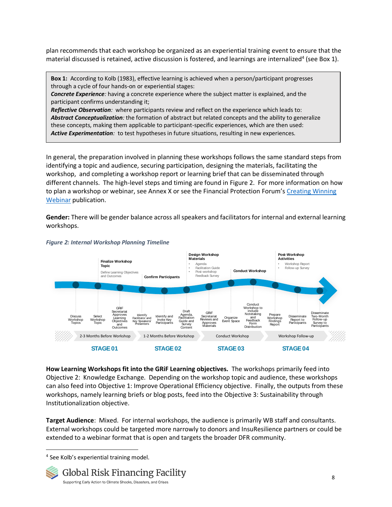plan recommends that each workshop be organized as an experiential training event to ensure that the material discussed is retained, active discussion is fostered, and learnings are internalized<sup>4</sup> (see Box 1).

**Box 1:** According to Kolb (1983), effective learning is achieved when a person/participant progresses through a cycle of four hands-on or experiential stages:

*Concrete Experience:* having a concrete experience where the subject matter is explained, and the participant confirms understanding it;

*Reflective Observation:* where participants review and reflect on the experience which leads to: *Abstract Conceptualization:* the formation of abstract but related concepts and the ability to generalize these concepts, making them applicable to participant-specific experiences, which are then used: *Active Experimentation:* to test hypotheses in future situations, resulting in new experiences.

In general, the preparation involved in planning these workshops follows the same standard steps from identifying a topic and audience, securing participation, designing the materials, facilitating the workshop, and completing a workshop report or learning brief that can be disseminated through different channels. The high-level steps and timing are found in [Figure 2.](#page-7-0) For more information on how to plan a workshop or webinar, see Annex X or see the Financial Protection Forum's [Creating Winning](https://www.financialprotectionforum.org/publications)  [Webinar](https://www.financialprotectionforum.org/publications) publication.

**Gender:** There will be gender balance across all speakers and facilitators for internal and external learning workshops.



<span id="page-7-0"></span>

**How Learning Workshops fit into the GRiF Learning objectives.** The workshops primarily feed into Objective 2: Knowledge Exchange. Depending on the workshop topic and audience, these workshops can also feed into Objective 1: Improve Operational Efficiency objective. Finally, the outputs from these workshops, namely learning briefs or blog posts, feed into the Objective 3: Sustainability through Institutionalization objective.

**Target Audience**: Mixed. For internal workshops, the audience is primarily WB staff and consultants. External workshops could be targeted more narrowly to donors and InsuResilience partners or could be extended to a webinar format that is open and targets the broader DFR community.

<sup>4</sup> See Kolb's experiential training model.

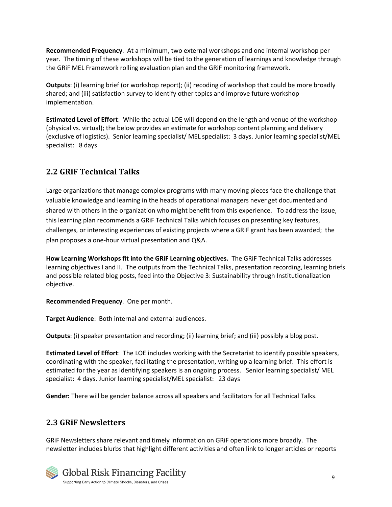**Recommended Frequency**. At a minimum, two external workshops and one internal workshop per year. The timing of these workshops will be tied to the generation of learnings and knowledge through the GRiF MEL Framework rolling evaluation plan and the GRiF monitoring framework.

**Outputs**: (i) learning brief (or workshop report); (ii) recoding of workshop that could be more broadly shared; and (iii) satisfaction survey to identify other topics and improve future workshop implementation.

**Estimated Level of Effort**: While the actual LOE will depend on the length and venue of the workshop (physical vs. virtual); the below provides an estimate for workshop content planning and delivery (exclusive of logistics). Senior learning specialist/ MEL specialist: 3 days. Junior learning specialist/MEL specialist: 8 days

### <span id="page-8-0"></span>**2.2 GRiF Technical Talks**

Large organizations that manage complex programs with many moving pieces face the challenge that valuable knowledge and learning in the heads of operational managers never get documented and shared with others in the organization who might benefit from this experience. To address the issue, this learning plan recommends a GRiF Technical Talks which focuses on presenting key features, challenges, or interesting experiences of existing projects where a GRiF grant has been awarded; the plan proposes a one-hour virtual presentation and Q&A.

**How Learning Workshops fit into the GRiF Learning objectives.** The GRiF Technical Talks addresses learning objectives I and II. The outputs from the Technical Talks, presentation recording, learning briefs and possible related blog posts, feed into the Objective 3: Sustainability through Institutionalization objective.

**Recommended Frequency**. One per month.

**Target Audience**: Both internal and external audiences.

**Outputs**: (i) speaker presentation and recording; (ii) learning brief; and (iii) possibly a blog post.

**Estimated Level of Effort**: The LOE includes working with the Secretariat to identify possible speakers, coordinating with the speaker, facilitating the presentation, writing up a learning brief. This effort is estimated for the year as identifying speakers is an ongoing process. Senior learning specialist/ MEL specialist: 4 days. Junior learning specialist/MEL specialist: 23 days

**Gender:** There will be gender balance across all speakers and facilitators for all Technical Talks.

### <span id="page-8-1"></span>**2.3 GRiF Newsletters**

GRiF Newsletters share relevant and timely information on GRiF operations more broadly. The newsletter includes blurbs that highlight different activities and often link to longer articles or reports

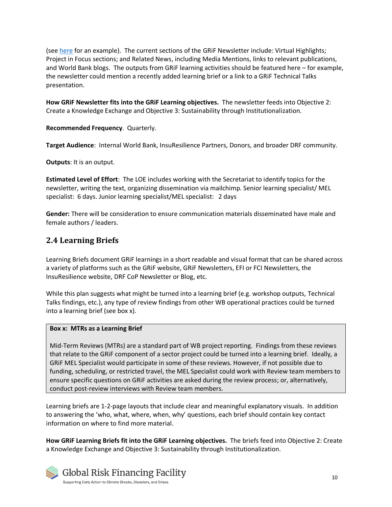(see [here](https://mailchi.mp/3938cafde6f1/global-risk-financing-facility-newsletter-august-2020) for an example). The current sections of the GRiF Newsletter include: Virtual Highlights; Project in Focus sections; and Related News, including Media Mentions, links to relevant publications, and World Bank blogs. The outputs from GRiF learning activities should be featured here – for example, the newsletter could mention a recently added learning brief or a link to a GRiF Technical Talks presentation.

**How GRiF Newsletter fits into the GRiF Learning objectives.** The newsletter feeds into Objective 2: Create a Knowledge Exchange and Objective 3: Sustainability through Institutionalization.

**Recommended Frequency**. Quarterly.

**Target Audience**: Internal World Bank, InsuResilience Partners, Donors, and broader DRF community.

**Outputs**: It is an output.

**Estimated Level of Effort**: The LOE includes working with the Secretariat to identify topics for the newsletter, writing the text, organizing dissemination via mailchimp. Senior learning specialist/ MEL specialist: 6 days. Junior learning specialist/MEL specialist: 2 days

**Gender:** There will be consideration to ensure communication materials disseminated have male and female authors / leaders.

### <span id="page-9-0"></span>**2.4 Learning Briefs**

Learning Briefs document GRiF learnings in a short readable and visual format that can be shared across a variety of platforms such as the GRiF website, GRiF Newsletters, EFI or FCI Newsletters, the InsuResilience website, DRF CoP Newsletter or Blog, etc.

While this plan suggests what might be turned into a learning brief (e.g. workshop outputs, Technical Talks findings, etc.), any type of review findings from other WB operational practices could be turned into a learning brief (see box x).

#### **Box x: MTRs as a Learning Brief**

Mid-Term Reviews (MTRs) are a standard part of WB project reporting. Findings from these reviews that relate to the GRiF component of a sector project could be turned into a learning brief. Ideally, a GRiF MEL Specialist would participate in some of these reviews. However, if not possible due to funding, scheduling, or restricted travel, the MEL Specialist could work with Review team members to ensure specific questions on GRiF activities are asked during the review process; or, alternatively, conduct post-review interviews with Review team members.

Learning briefs are 1-2-page layouts that include clear and meaningful explanatory visuals. In addition to answering the 'who, what, where, when, why' questions, each brief should contain key contact information on where to find more material.

**How GRiF Learning Briefs fit into the GRiF Learning objectives.** The briefs feed into Objective 2: Create a Knowledge Exchange and Objective 3: Sustainability through Institutionalization.

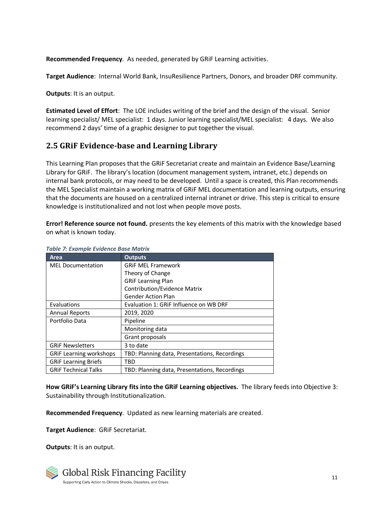**Recommended Frequency**. As needed, generated by GRiF Learning activities.

**Target Audience**: Internal World Bank, InsuResilience Partners, Donors, and broader DRF community.

**Outputs**: It is an output.

**Estimated Level of Effort**: The LOE includes writing of the brief and the design of the visual. Senior learning specialist/ MEL specialist: 1 days. Junior learning specialist/MEL specialist: 4 days. We also recommend 2 days' time of a graphic designer to put together the visual.

### <span id="page-10-0"></span>**2.5 GRiF Evidence-base and Learning Library**

This Learning Plan proposes that the GRiF Secretariat create and maintain an Evidence Base/Learning Library for GRiF. The library's location (document management system, intranet, etc.) depends on internal bank protocols, or may need to be developed. Until a space is created, this Plan recommends the MEL Specialist maintain a working matrix of GRiF MEL documentation and learning outputs, ensuring that the documents are housed on a centralized internal intranet or drive. This step is critical to ensure knowledge is institutionalized and not lost when people move posts.

**Error! Reference source not found.** presents the key elements of this matrix with the knowledge based on what is known today.

| Area                           | <b>Outputs</b>                                |
|--------------------------------|-----------------------------------------------|
| <b>MEL Documentation</b>       | <b>GRIF MEL Framework</b>                     |
|                                | Theory of Change                              |
|                                | <b>GRIF Learning Plan</b>                     |
|                                | <b>Contribution/Evidence Matrix</b>           |
|                                | <b>Gender Action Plan</b>                     |
| Evaluations                    | Evaluation 1: GRIF Influence on WB DRF        |
| <b>Annual Reports</b>          | 2019, 2020                                    |
| Portfolio Data                 | Pipeline                                      |
|                                | Monitoring data                               |
|                                | Grant proposals                               |
| <b>GRIF Newsletters</b>        | 3 to date                                     |
| <b>GRIF Learning workshops</b> | TBD: Planning data, Presentations, Recordings |
| <b>GRIF Learning Briefs</b>    | TBD                                           |
| <b>GRiF Technical Talks</b>    | TBD: Planning data, Presentations, Recordings |

#### *Table 7: Example Evidence Base Matrix*

**How GRiF's Learning Library fits into the GRiF Learning objectives.** The library feeds into Objective 3: Sustainability through Institutionalization.

**Recommended Frequency**. Updated as new learning materials are created.

**Target Audience**: GRiF Secretariat.

**Outputs**: It is an output.

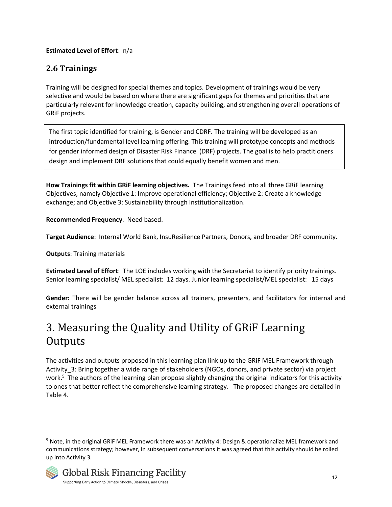#### **Estimated Level of Effort**: n/a

### <span id="page-11-0"></span>**2.6 Trainings**

Training will be designed for special themes and topics. Development of trainings would be very selective and would be based on where there are significant gaps for themes and priorities that are particularly relevant for knowledge creation, capacity building, and strengthening overall operations of GRiF projects.

The first topic identified for training, is Gender and CDRF. The training will be developed as an introduction/fundamental level learning offering. This training will prototype concepts and methods for gender informed design of Disaster Risk Finance (DRF) projects. The goal is to help practitioners design and implement DRF solutions that could equally benefit women and men.

**How Trainings fit within GRiF learning objectives.** The Trainings feed into all three GRiF learning Objectives, namely Objective 1: Improve operational efficiency; Objective 2: Create a knowledge exchange; and Objective 3: Sustainability through Institutionalization.

**Recommended Frequency**. Need based.

**Target Audience**: Internal World Bank, InsuResilience Partners, Donors, and broader DRF community.

**Outputs**: Training materials

**Estimated Level of Effort**: The LOE includes working with the Secretariat to identify priority trainings. Senior learning specialist/ MEL specialist: 12 days. Junior learning specialist/MEL specialist: 15 days

**Gender:** There will be gender balance across all trainers, presenters, and facilitators for internal and external trainings

## <span id="page-11-1"></span>3. Measuring the Quality and Utility of GRiF Learning **Outputs**

The activities and outputs proposed in this learning plan link up to the GRiF MEL Framework through Activity\_3: Bring together a wide range of stakeholders (NGOs, donors, and private sector) via project work. 5 The authors of the learning plan propose slightly changing the original indicators for this activity to ones that better reflect the comprehensive learning strategy. The proposed changes are detailed in Table 4.

<sup>5</sup> Note, in the original GRiF MEL Framework there was an Activity 4: Design & operationalize MEL framework and communications strategy; however, in subsequent conversations it was agreed that this activity should be rolled up into Activity 3.

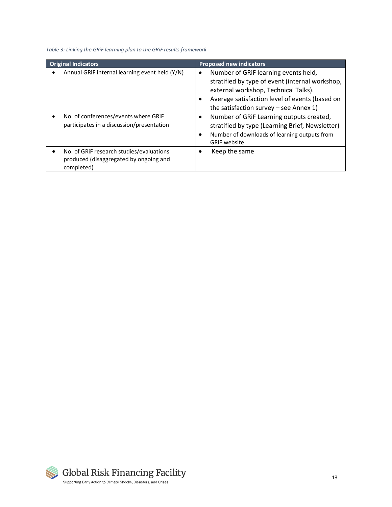*Table 3: Linking the GRiF learning plan to the GRiF results framework*

| <b>Original Indicators</b>                                                                       | <b>Proposed new indicators</b>                                                                                                                                                                                                             |
|--------------------------------------------------------------------------------------------------|--------------------------------------------------------------------------------------------------------------------------------------------------------------------------------------------------------------------------------------------|
| Annual GRiF internal learning event held (Y/N)                                                   | Number of GRIF learning events held,<br>$\bullet$<br>stratified by type of event (internal workshop,<br>external workshop, Technical Talks).<br>Average satisfaction level of events (based on<br>the satisfaction survey $-$ see Annex 1) |
| No. of conferences/events where GRIF<br>participates in a discussion/presentation                | Number of GRIF Learning outputs created,<br>٠<br>stratified by type (Learning Brief, Newsletter)<br>Number of downloads of learning outputs from<br><b>GRIF website</b>                                                                    |
| No. of GRIF research studies/evaluations<br>produced (disaggregated by ongoing and<br>completed) | Keep the same<br>٠                                                                                                                                                                                                                         |

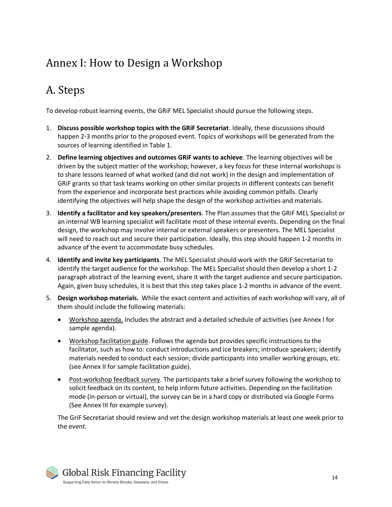## <span id="page-13-0"></span>Annex I: How to Design a Workshop

## <span id="page-13-1"></span>A. Steps

To develop robust learning events, the GRiF MEL Specialist should pursue the following steps.

- 1. **Discuss possible workshop topics with the GRiF Secretariat**. Ideally, these discussions should happen 2-3 months prior to the proposed event. Topics of workshops will be generated from the sources of learning identified in Table 1.
- 2. **Define learning objectives and outcomes GRiF wants to achieve**. The learning objectives will be driven by the subject matter of the workshop; however, a key focus for these internal workshops is to share lessons learned of what worked (and did not work) in the design and implementation of GRiF grants so that task teams working on other similar projects in different contexts can benefit from the experience and incorporate best practices while avoiding common pitfalls. Clearly identifying the objectives will help shape the design of the workshop activities and materials.
- 3. **Identify a facilitator and key speakers/presenters**. The Plan assumes that the GRiF MEL Specialist or an internal WB learning specialist will facilitate most of these internal events. Depending on the final design, the workshop may involve internal or external speakers or presenters. The MEL Specialist will need to reach out and secure their participation. Ideally, this step should happen 1-2 months in advance of the event to accommodate busy schedules.
- 4. **Identify and invite key participants**. The MEL Specialist should work with the GRiF Secretariat to identify the target audience for the workshop. The MEL Specialist should then develop a short 1-2 paragraph abstract of the learning event, share it with the target audience and secure participation. Again, given busy schedules, it is best that this step takes place 1-2 months in advance of the event.
- 5. **Design workshop materials.** While the exact content and activities of each workshop will vary, all of them should include the following materials:
	- Workshop agenda. Includes the abstract and a detailed schedule of activities (see Annex I for sample agenda).
	- Workshop facilitation guide. Follows the agenda but provides specific instructions to the facilitator, such as how to: conduct introductions and ice breakers; introduce speakers; identify materials needed to conduct each session; divide participants into smaller working groups, etc. (see Annex II for sample facilitation guide).
	- Post-workshop feedback survey. The participants take a brief survey following the workshop to solicit feedback on its content, to help inform future activities. Depending on the facilitation mode (in-person or virtual), the survey can be in a hard copy or distributed via Google Forms (See Annex III for example survey).

The GriF Secretariat should review and vet the design workshop materials at least one week prior to the event.

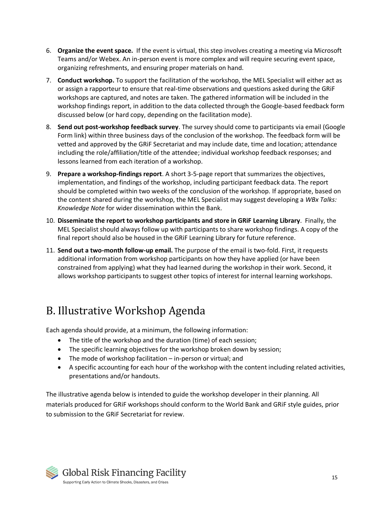- 6. **Organize the event space.** If the event is virtual, this step involves creating a meeting via Microsoft Teams and/or Webex. An in-person event is more complex and will require securing event space, organizing refreshments, and ensuring proper materials on hand.
- 7. **Conduct workshop.** To support the facilitation of the workshop, the MEL Specialist will either act as or assign a rapporteur to ensure that real-time observations and questions asked during the GRiF workshops are captured, and notes are taken. The gathered information will be included in the workshop findings report, in addition to the data collected through the Google-based feedback form discussed below (or hard copy, depending on the facilitation mode).
- 8. **Send out post-workshop feedback survey**. The survey should come to participants via email (Google Form link) within three business days of the conclusion of the workshop. The feedback form will be vetted and approved by the GRiF Secretariat and may include date, time and location; attendance including the role/affiliation/title of the attendee; individual workshop feedback responses; and lessons learned from each iteration of a workshop.
- 9. **Prepare a workshop-findings report**. A short 3-5-page report that summarizes the objectives, implementation, and findings of the workshop, including participant feedback data. The report should be completed within two weeks of the conclusion of the workshop. If appropriate, based on the content shared during the workshop, the MEL Specialist may suggest developing a *WBx Talks: Knowledge Note* for wider dissemination within the Bank.
- 10. **Disseminate the report to workshop participants and store in GRiF Learning Library**. Finally, the MEL Specialist should always follow up with participants to share workshop findings. A copy of the final report should also be housed in the GRiF Learning Library for future reference.
- 11. **Send out a two-month follow-up email.** The purpose of the email is two-fold. First, it requests additional information from workshop participants on how they have applied (or have been constrained from applying) what they had learned during the workshop in their work. Second, it allows workshop participants to suggest other topics of interest for internal learning workshops.

## <span id="page-14-0"></span>B. Illustrative Workshop Agenda

Each agenda should provide, at a minimum, the following information:

- The title of the workshop and the duration (time) of each session;
- The specific learning objectives for the workshop broken down by session;
- The mode of workshop facilitation in-person or virtual; and
- A specific accounting for each hour of the workshop with the content including related activities, presentations and/or handouts.

The illustrative agenda below is intended to guide the workshop developer in their planning. All materials produced for GRiF workshops should conform to the World Bank and GRiF style guides, prior to submission to the GRiF Secretariat for review.

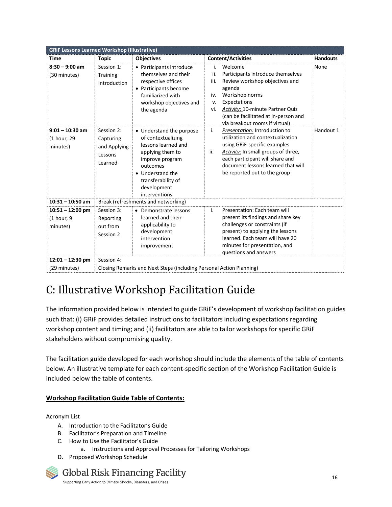| <b>GRiF Lessons Learned Workshop (Illustrative)</b> |                                                               |                                                                                                                                                                                                    |                                                                                                                                                                                                                                                                                   |                 |
|-----------------------------------------------------|---------------------------------------------------------------|----------------------------------------------------------------------------------------------------------------------------------------------------------------------------------------------------|-----------------------------------------------------------------------------------------------------------------------------------------------------------------------------------------------------------------------------------------------------------------------------------|-----------------|
| <b>Time</b>                                         | <b>Topic</b>                                                  | <b>Objectives</b>                                                                                                                                                                                  | <b>Content/Activities</b>                                                                                                                                                                                                                                                         | <b>Handouts</b> |
| $8:30 - 9:00$ am<br>(30 minutes)                    | Session 1:<br><b>Training</b><br>Introduction                 | • Participants introduce<br>themselves and their<br>respective offices<br>• Participants become<br>familiarized with<br>workshop objectives and<br>the agenda                                      | Welcome<br>i.<br>Participants introduce themselves<br>ii.<br>Review workshop objectives and<br>iii.<br>agenda<br>Workshop norms<br>iv.<br>Expectations<br>v.<br>Activity: 10-minute Partner Quiz<br>vi.<br>(can be facilitated at in-person and<br>via breakout rooms if virtual) | None            |
| $9:01 - 10:30$ am<br>(1 hour, 29<br>minutes)        | Session 2:<br>Capturing<br>and Applying<br>Lessons<br>Learned | • Understand the purpose<br>of contextualizing<br>lessons learned and<br>applying them to<br>improve program<br>outcomes<br>• Understand the<br>transferability of<br>development<br>interventions | Presentation: Introduction to<br>i.<br>utilization and contextualization<br>using GRiF-specific examples<br>Activity: In small groups of three,<br>ii.<br>each participant will share and<br>document lessons learned that will<br>be reported out to the group                   | Handout 1       |
| $10:31 - 10:50$ am                                  |                                                               | Break (refreshments and networking)                                                                                                                                                                |                                                                                                                                                                                                                                                                                   |                 |
| $10:51 - 12:00$ pm<br>(1 hour, 9<br>minutes)        | Session 3:<br>Reporting<br>out from<br>Session 2              | • Demonstrate lessons<br>learned and their<br>applicability to<br>development<br>intervention<br>improvement                                                                                       | Presentation: Each team will<br>i.<br>present its findings and share key<br>challenges or constraints (if<br>present) to applying the lessons<br>learned. Each team will have 20<br>minutes for presentation, and<br>questions and answers                                        |                 |
| $12:01 - 12:30$ pm<br>(29 minutes)                  | Session 4:                                                    | Closing Remarks and Next Steps (including Personal Action Planning)                                                                                                                                |                                                                                                                                                                                                                                                                                   |                 |
|                                                     |                                                               |                                                                                                                                                                                                    |                                                                                                                                                                                                                                                                                   |                 |

## <span id="page-15-0"></span>C: Illustrative Workshop Facilitation Guide

The information provided below is intended to guide GRiF's development of workshop facilitation guides such that: (i) GRiF provides detailed instructions to facilitators including expectations regarding workshop content and timing; and (ii) facilitators are able to tailor workshops for specific GRiF stakeholders without compromising quality.

The facilitation guide developed for each workshop should include the elements of the table of contents below. An illustrative template for each content-specific section of the Workshop Facilitation Guide is included below the table of contents.

#### **Workshop Facilitation Guide Table of Contents:**

#### Acronym List

- A. Introduction to the Facilitator's Guide
- B. Facilitator's Preparation and Timeline
- C. How to Use the Facilitator's Guide
	- a. Instructions and Approval Processes for Tailoring Workshops
- D. Proposed Workshop Schedule

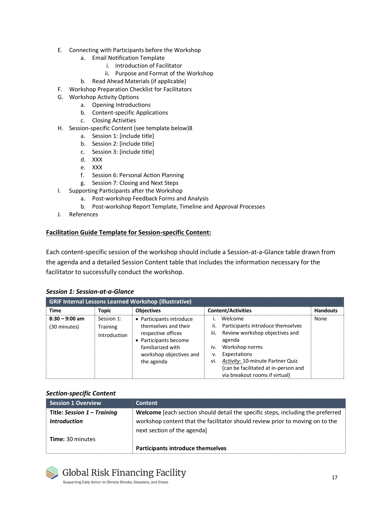- E. Connecting with Participants before the Workshop
	- a. Email Notification Template
		- i. Introduction of Facilitator
		- ii. Purpose and Format of the Workshop
	- b. Read Ahead Materials (if applicable)
- F. Workshop Preparation Checklist for Facilitators
- G. Workshop Activity Options
	- a. Opening Introductions
	- b. Content-specific Applications
	- c. Closing Activities
- H. Session-specific Content (see template below)8
	- a. Session 1: [include title]
	- b. Session 2: [include title]
	- c. Session 3: [include title]
	- d. XXX
	- e. XXX
	- f. Session 6: Personal Action Planning
	- g. Session 7: Closing and Next Steps
- I. Supporting Participants after the Workshop
	- a. Post-workshop Feedback Forms and Analysis
	- b. Post-workshop Report Template, Timeline and Approval Processes
- J. References

#### **Facilitation Guide Template for Session-specific Content:**

Each content-specific session of the workshop should include a Session-at-a-Glance table drawn from the agenda and a detailed Session Content table that includes the information necessary for the facilitator to successfully conduct the workshop.

|  | <b>Session 1: Session-at-a-Glance</b> |
|--|---------------------------------------|
|  |                                       |

| Time                             | Topic                                         | <b>Objectives</b>                                                                                                                                             | <b>Content/Activities</b>                                                                                                                                                                                                                                                   | <b>Handouts</b> |
|----------------------------------|-----------------------------------------------|---------------------------------------------------------------------------------------------------------------------------------------------------------------|-----------------------------------------------------------------------------------------------------------------------------------------------------------------------------------------------------------------------------------------------------------------------------|-----------------|
| $8:30 - 9:00$ am<br>(30 minutes) | Session 1:<br><b>Training</b><br>Introduction | • Participants introduce<br>themselves and their<br>respective offices<br>• Participants become<br>familiarized with<br>workshop objectives and<br>the agenda | Welcome<br>Participants introduce themselves<br>ii.<br>Review workshop objectives and<br>iii.<br>agenda<br>Workshop norms<br>iv.<br>Expectations<br>ν.<br>Activity: 10-minute Partner Quiz<br>vi.<br>(can be facilitated at in-person and<br>via breakout rooms if virtual) | None            |

#### *Section-specific Content*

| <b>Session 1 Overview</b>     | <b>Content</b>                                                                                               |
|-------------------------------|--------------------------------------------------------------------------------------------------------------|
| Title: Session $1$ – Training | <b>Welcome</b> [each section should detail the specific steps, including the preferred                       |
| <b>Introduction</b>           | workshop content that the facilitator should review prior to moving on to the<br>next section of the agenda] |
| <b>Time: 30 minutes</b>       |                                                                                                              |
|                               | <b>Participants introduce themselves</b>                                                                     |

**Global Risk Financing Facility** 

Supporting Early Action to Climate Shocks, Disasters, and Crises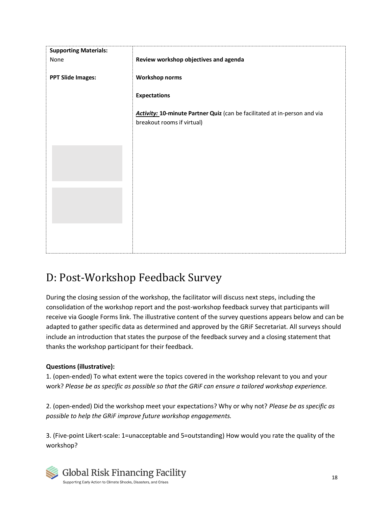| <b>Supporting Materials:</b> |                                                                                                         |
|------------------------------|---------------------------------------------------------------------------------------------------------|
| None                         | Review workshop objectives and agenda                                                                   |
| <b>PPT Slide Images:</b>     | <b>Workshop norms</b>                                                                                   |
|                              | <b>Expectations</b>                                                                                     |
|                              | Activity: 10-minute Partner Quiz (can be facilitated at in-person and via<br>breakout rooms if virtual) |
|                              |                                                                                                         |
|                              |                                                                                                         |
|                              |                                                                                                         |
|                              |                                                                                                         |
|                              |                                                                                                         |
|                              |                                                                                                         |
|                              |                                                                                                         |

### <span id="page-17-0"></span>D: Post-Workshop Feedback Survey

During the closing session of the workshop, the facilitator will discuss next steps, including the consolidation of the workshop report and the post-workshop feedback survey that participants will receive via Google Forms link. The illustrative content of the survey questions appears below and can be adapted to gather specific data as determined and approved by the GRiF Secretariat. All surveys should include an introduction that states the purpose of the feedback survey and a closing statement that thanks the workshop participant for their feedback.

#### **Questions (illustrative):**

1. (open-ended) To what extent were the topics covered in the workshop relevant to you and your work? *Please be as specific as possible so that the GRiF can ensure a tailored workshop experience.*

2. (open-ended) Did the workshop meet your expectations? Why or why not? *Please be as specific as possible to help the GRiF improve future workshop engagements.*

3. (Five-point Likert-scale: 1=unacceptable and 5=outstanding) How would you rate the quality of the workshop?

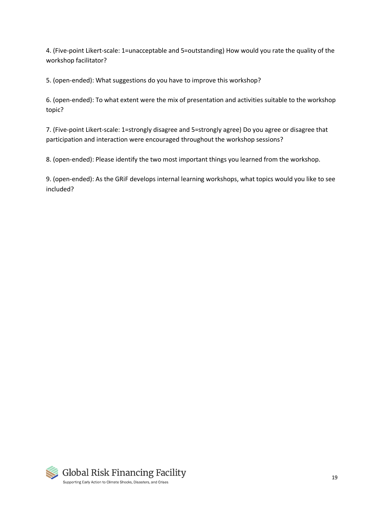4. (Five-point Likert-scale: 1=unacceptable and 5=outstanding) How would you rate the quality of the workshop facilitator?

5. (open-ended): What suggestions do you have to improve this workshop?

6. (open-ended): To what extent were the mix of presentation and activities suitable to the workshop topic?

7. (Five-point Likert-scale: 1=strongly disagree and 5=strongly agree) Do you agree or disagree that participation and interaction were encouraged throughout the workshop sessions?

8. (open-ended): Please identify the two most important things you learned from the workshop.

9. (open-ended): As the GRiF develops internal learning workshops, what topics would you like to see included?

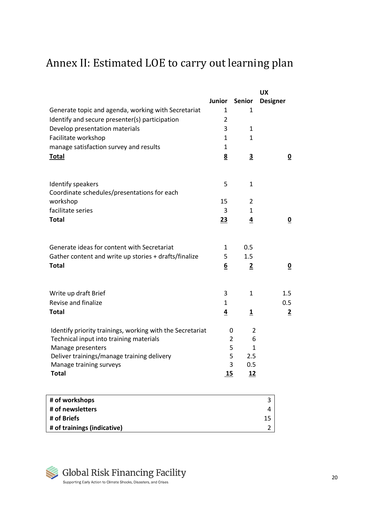## <span id="page-19-0"></span>Annex II: Estimated LOE to carry out learning plan

| Junior Senior<br><b>Designer</b><br>Generate topic and agenda, working with Secretariat<br>1<br>1<br>Identify and secure presenter(s) participation<br>2<br>Develop presentation materials<br>3<br>$\mathbf{1}$<br>Facilitate workshop<br>$\mathbf{1}$<br>$\mathbf{1}$<br>manage satisfaction survey and results<br>1<br><b>Total</b><br>8<br>$\overline{\mathbf{3}}$<br>5<br>Identify speakers<br>$\mathbf{1}$<br>Coordinate schedules/presentations for each<br>workshop<br>15<br>2<br>facilitate series<br>3<br>$\mathbf{1}$<br><b>Total</b><br>23<br>$\overline{4}$<br>Generate ideas for content with Secretariat<br>0.5<br>1<br>1.5<br>Gather content and write up stories + drafts/finalize<br>5<br><b>Total</b><br>$6 \overline{6}$<br>$\overline{2}$<br>1.5<br>Write up draft Brief<br>3<br>$\mathbf{1}$<br>Revise and finalize<br>0.5<br>$\mathbf{1}$<br><b>Total</b><br>$\overline{4}$<br>$\overline{\mathbf{1}}$<br>Identify priority trainings, working with the Secretariat<br>0<br>2 |                                         |        | <b>UX</b> |                         |  |
|-----------------------------------------------------------------------------------------------------------------------------------------------------------------------------------------------------------------------------------------------------------------------------------------------------------------------------------------------------------------------------------------------------------------------------------------------------------------------------------------------------------------------------------------------------------------------------------------------------------------------------------------------------------------------------------------------------------------------------------------------------------------------------------------------------------------------------------------------------------------------------------------------------------------------------------------------------------------------------------------------------|-----------------------------------------|--------|-----------|-------------------------|--|
|                                                                                                                                                                                                                                                                                                                                                                                                                                                                                                                                                                                                                                                                                                                                                                                                                                                                                                                                                                                                     |                                         |        |           |                         |  |
|                                                                                                                                                                                                                                                                                                                                                                                                                                                                                                                                                                                                                                                                                                                                                                                                                                                                                                                                                                                                     |                                         |        |           |                         |  |
|                                                                                                                                                                                                                                                                                                                                                                                                                                                                                                                                                                                                                                                                                                                                                                                                                                                                                                                                                                                                     |                                         |        |           |                         |  |
|                                                                                                                                                                                                                                                                                                                                                                                                                                                                                                                                                                                                                                                                                                                                                                                                                                                                                                                                                                                                     |                                         |        |           |                         |  |
|                                                                                                                                                                                                                                                                                                                                                                                                                                                                                                                                                                                                                                                                                                                                                                                                                                                                                                                                                                                                     |                                         |        |           |                         |  |
|                                                                                                                                                                                                                                                                                                                                                                                                                                                                                                                                                                                                                                                                                                                                                                                                                                                                                                                                                                                                     |                                         |        |           |                         |  |
|                                                                                                                                                                                                                                                                                                                                                                                                                                                                                                                                                                                                                                                                                                                                                                                                                                                                                                                                                                                                     |                                         |        |           | $\overline{\mathbf{0}}$ |  |
|                                                                                                                                                                                                                                                                                                                                                                                                                                                                                                                                                                                                                                                                                                                                                                                                                                                                                                                                                                                                     |                                         |        |           |                         |  |
|                                                                                                                                                                                                                                                                                                                                                                                                                                                                                                                                                                                                                                                                                                                                                                                                                                                                                                                                                                                                     |                                         |        |           |                         |  |
|                                                                                                                                                                                                                                                                                                                                                                                                                                                                                                                                                                                                                                                                                                                                                                                                                                                                                                                                                                                                     |                                         |        |           |                         |  |
|                                                                                                                                                                                                                                                                                                                                                                                                                                                                                                                                                                                                                                                                                                                                                                                                                                                                                                                                                                                                     |                                         |        |           |                         |  |
|                                                                                                                                                                                                                                                                                                                                                                                                                                                                                                                                                                                                                                                                                                                                                                                                                                                                                                                                                                                                     |                                         |        |           |                         |  |
|                                                                                                                                                                                                                                                                                                                                                                                                                                                                                                                                                                                                                                                                                                                                                                                                                                                                                                                                                                                                     |                                         |        |           | $\overline{\mathbf{0}}$ |  |
|                                                                                                                                                                                                                                                                                                                                                                                                                                                                                                                                                                                                                                                                                                                                                                                                                                                                                                                                                                                                     |                                         |        |           |                         |  |
|                                                                                                                                                                                                                                                                                                                                                                                                                                                                                                                                                                                                                                                                                                                                                                                                                                                                                                                                                                                                     |                                         |        |           |                         |  |
|                                                                                                                                                                                                                                                                                                                                                                                                                                                                                                                                                                                                                                                                                                                                                                                                                                                                                                                                                                                                     |                                         |        |           |                         |  |
|                                                                                                                                                                                                                                                                                                                                                                                                                                                                                                                                                                                                                                                                                                                                                                                                                                                                                                                                                                                                     |                                         |        |           | $\overline{\mathbf{0}}$ |  |
|                                                                                                                                                                                                                                                                                                                                                                                                                                                                                                                                                                                                                                                                                                                                                                                                                                                                                                                                                                                                     |                                         |        |           |                         |  |
|                                                                                                                                                                                                                                                                                                                                                                                                                                                                                                                                                                                                                                                                                                                                                                                                                                                                                                                                                                                                     |                                         |        |           |                         |  |
|                                                                                                                                                                                                                                                                                                                                                                                                                                                                                                                                                                                                                                                                                                                                                                                                                                                                                                                                                                                                     |                                         |        |           |                         |  |
|                                                                                                                                                                                                                                                                                                                                                                                                                                                                                                                                                                                                                                                                                                                                                                                                                                                                                                                                                                                                     |                                         |        |           | $\overline{2}$          |  |
|                                                                                                                                                                                                                                                                                                                                                                                                                                                                                                                                                                                                                                                                                                                                                                                                                                                                                                                                                                                                     |                                         |        |           |                         |  |
|                                                                                                                                                                                                                                                                                                                                                                                                                                                                                                                                                                                                                                                                                                                                                                                                                                                                                                                                                                                                     | Technical input into training materials | 2<br>6 |           |                         |  |
| 5<br>Manage presenters<br>$\mathbf{1}$                                                                                                                                                                                                                                                                                                                                                                                                                                                                                                                                                                                                                                                                                                                                                                                                                                                                                                                                                              |                                         |        |           |                         |  |
| 5<br>Deliver trainings/manage training delivery<br>2.5                                                                                                                                                                                                                                                                                                                                                                                                                                                                                                                                                                                                                                                                                                                                                                                                                                                                                                                                              |                                         |        |           |                         |  |
| 3<br>Manage training surveys<br>0.5                                                                                                                                                                                                                                                                                                                                                                                                                                                                                                                                                                                                                                                                                                                                                                                                                                                                                                                                                                 |                                         |        |           |                         |  |
| <b>Total</b><br>15<br>12                                                                                                                                                                                                                                                                                                                                                                                                                                                                                                                                                                                                                                                                                                                                                                                                                                                                                                                                                                            |                                         |        |           |                         |  |
| # of workshops<br>3                                                                                                                                                                                                                                                                                                                                                                                                                                                                                                                                                                                                                                                                                                                                                                                                                                                                                                                                                                                 |                                         |        |           |                         |  |
| # of newsletters<br>4                                                                                                                                                                                                                                                                                                                                                                                                                                                                                                                                                                                                                                                                                                                                                                                                                                                                                                                                                                               |                                         |        |           |                         |  |
| # of Briefs<br>15                                                                                                                                                                                                                                                                                                                                                                                                                                                                                                                                                                                                                                                                                                                                                                                                                                                                                                                                                                                   |                                         |        |           |                         |  |
| # of trainings (indicative)<br>2                                                                                                                                                                                                                                                                                                                                                                                                                                                                                                                                                                                                                                                                                                                                                                                                                                                                                                                                                                    |                                         |        |           |                         |  |